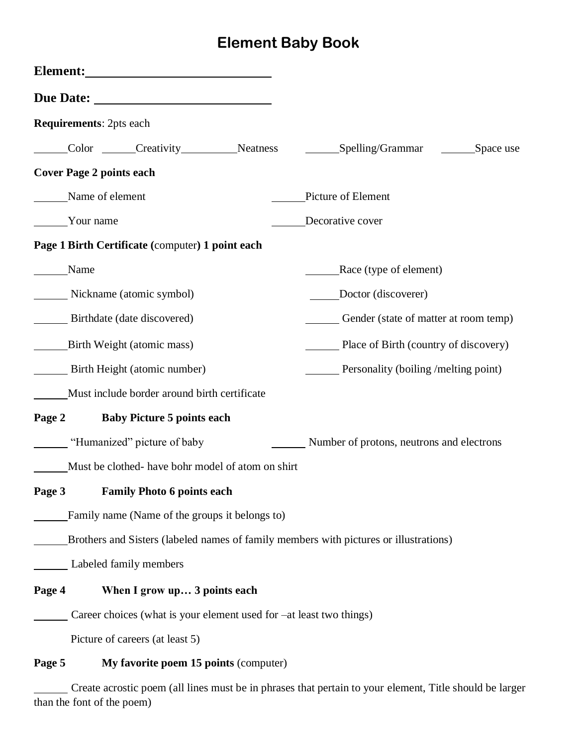## **Element Baby Book**

|                              | <b>Requirements: 2pts each</b>                                      |                                                   |  |                                                                                       |           |  |
|------------------------------|---------------------------------------------------------------------|---------------------------------------------------|--|---------------------------------------------------------------------------------------|-----------|--|
|                              |                                                                     | Color Creativity Neatness                         |  | $S$ pelling/Grammar                                                                   | Space use |  |
|                              | <b>Cover Page 2 points each</b>                                     |                                                   |  |                                                                                       |           |  |
|                              | Name of element                                                     |                                                   |  | Picture of Element                                                                    |           |  |
| Your name                    |                                                                     |                                                   |  | Decorative cover                                                                      |           |  |
|                              |                                                                     | Page 1 Birth Certificate (computer) 1 point each  |  |                                                                                       |           |  |
|                              | Name                                                                |                                                   |  | Race (type of element)                                                                |           |  |
| Nickname (atomic symbol)     |                                                                     |                                                   |  | Doctor (discoverer)                                                                   |           |  |
| Birthdate (date discovered)  |                                                                     |                                                   |  | Gender (state of matter at room temp)                                                 |           |  |
| Birth Weight (atomic mass)   |                                                                     |                                                   |  | Place of Birth (country of discovery)                                                 |           |  |
| Birth Height (atomic number) |                                                                     |                                                   |  | <b>Example 1</b> Personality (boiling /melting point)                                 |           |  |
|                              |                                                                     | Must include border around birth certificate      |  |                                                                                       |           |  |
| Page 2                       |                                                                     | <b>Baby Picture 5 points each</b>                 |  |                                                                                       |           |  |
|                              | "Humanized" picture of baby                                         |                                                   |  | Number of protons, neutrons and electrons                                             |           |  |
|                              |                                                                     | Must be clothed- have bohr model of atom on shirt |  |                                                                                       |           |  |
| Page 3                       |                                                                     | <b>Family Photo 6 points each</b>                 |  |                                                                                       |           |  |
|                              |                                                                     | Family name (Name of the groups it belongs to)    |  |                                                                                       |           |  |
|                              |                                                                     |                                                   |  | Brothers and Sisters (labeled names of family members with pictures or illustrations) |           |  |
|                              |                                                                     | Labeled family members                            |  |                                                                                       |           |  |
| Page 4                       |                                                                     | When I grow up 3 points each                      |  |                                                                                       |           |  |
|                              | Career choices (what is your element used for –at least two things) |                                                   |  |                                                                                       |           |  |
|                              | Picture of careers (at least 5)                                     |                                                   |  |                                                                                       |           |  |
| Page 5                       |                                                                     | My favorite poem 15 points (computer)             |  |                                                                                       |           |  |

Create acrostic poem (all lines must be in phrases that pertain to your element, Title should be larger than the font of the poem)